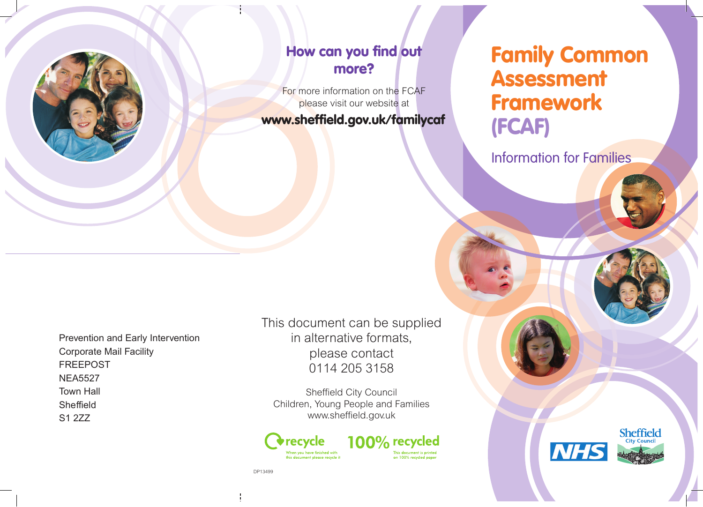

#### How can you find out more?

For more information on the FCAF please visit our website at

www.sheffield.gov.uk/familycaf

# Family Common Assessment Framework (FCAF)

Information for Families

Prevention and Early Intervention Corporate Mail Facility FREEPOST NEA5527 Town Hall Sheffield S1 2ZZ

This document can be supplied in alternative formats, please contact 0114 205 3158

Sheffield City Council Children, Young People and Families www.sheffield.gov.uk



100% recycled This document is printed<br>on 100% recycled paper



DP13499